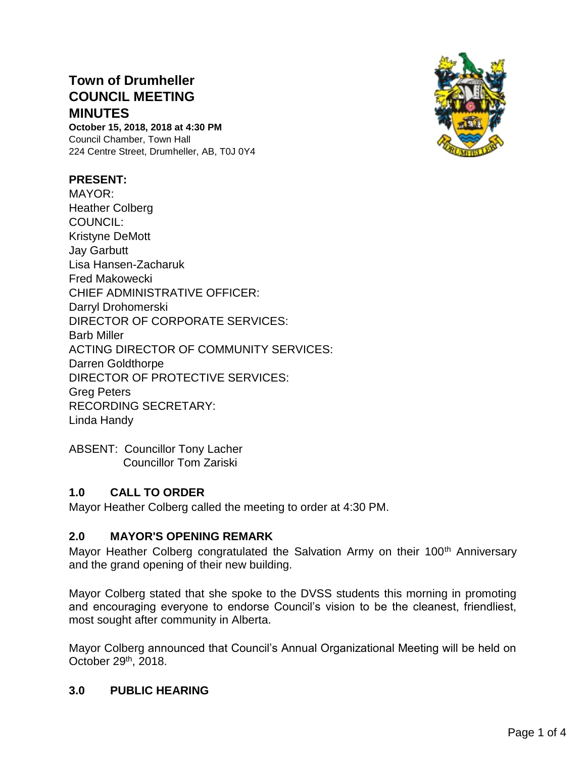# **Town of Drumheller COUNCIL MEETING MINUTES**

**October 15, 2018, 2018 at 4:30 PM** Council Chamber, Town Hall 224 Centre Street, Drumheller, AB, T0J 0Y4

#### **PRESENT:**

MAYOR: Heather Colberg COUNCIL: Kristyne DeMott Jay Garbutt Lisa Hansen-Zacharuk Fred Makowecki CHIEF ADMINISTRATIVE OFFICER: Darryl Drohomerski DIRECTOR OF CORPORATE SERVICES: Barb Miller ACTING DIRECTOR OF COMMUNITY SERVICES: Darren Goldthorpe DIRECTOR OF PROTECTIVE SERVICES: Greg Peters RECORDING SECRETARY: Linda Handy



ABSENT: Councillor Tony Lacher Councillor Tom Zariski

### **1.0 CALL TO ORDER**

Mayor Heather Colberg called the meeting to order at 4:30 PM.

### **2.0 MAYOR'S OPENING REMARK**

Mayor Heather Colberg congratulated the Salvation Army on their 100<sup>th</sup> Anniversary and the grand opening of their new building.

Mayor Colberg stated that she spoke to the DVSS students this morning in promoting and encouraging everyone to endorse Council's vision to be the cleanest, friendliest, most sought after community in Alberta.

Mayor Colberg announced that Council's Annual Organizational Meeting will be held on October 29th, 2018.

### **3.0 PUBLIC HEARING**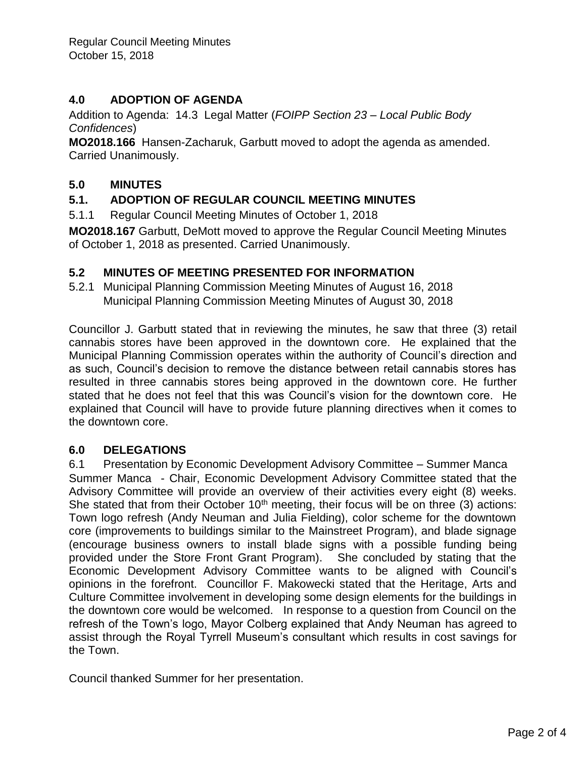# **4.0 ADOPTION OF AGENDA**

Addition to Agenda: 14.3 Legal Matter (*FOIPP Section 23 – Local Public Body Confidences*)

**MO2018.166** Hansen-Zacharuk, Garbutt moved to adopt the agenda as amended. Carried Unanimously.

# **5.0 MINUTES**

# **5.1. ADOPTION OF REGULAR COUNCIL MEETING MINUTES**

5.1.1 Regular Council Meeting Minutes of October 1, 2018

**MO2018.167** Garbutt, DeMott moved to approve the Regular Council Meeting Minutes of October 1, 2018 as presented. Carried Unanimously.

### **5.2 MINUTES OF MEETING PRESENTED FOR INFORMATION**

5.2.1 Municipal Planning Commission Meeting Minutes of August 16, 2018 Municipal Planning Commission Meeting Minutes of August 30, 2018

Councillor J. Garbutt stated that in reviewing the minutes, he saw that three (3) retail cannabis stores have been approved in the downtown core. He explained that the Municipal Planning Commission operates within the authority of Council's direction and as such, Council's decision to remove the distance between retail cannabis stores has resulted in three cannabis stores being approved in the downtown core. He further stated that he does not feel that this was Council's vision for the downtown core. He explained that Council will have to provide future planning directives when it comes to the downtown core.

### **6.0 DELEGATIONS**

6.1 Presentation by Economic Development Advisory Committee – Summer Manca Summer Manca - Chair, Economic Development Advisory Committee stated that the Advisory Committee will provide an overview of their activities every eight (8) weeks. She stated that from their October  $10<sup>th</sup>$  meeting, their focus will be on three (3) actions: Town logo refresh (Andy Neuman and Julia Fielding), color scheme for the downtown core (improvements to buildings similar to the Mainstreet Program), and blade signage (encourage business owners to install blade signs with a possible funding being provided under the Store Front Grant Program). She concluded by stating that the Economic Development Advisory Committee wants to be aligned with Council's opinions in the forefront. Councillor F. Makowecki stated that the Heritage, Arts and Culture Committee involvement in developing some design elements for the buildings in the downtown core would be welcomed. In response to a question from Council on the refresh of the Town's logo, Mayor Colberg explained that Andy Neuman has agreed to assist through the Royal Tyrrell Museum's consultant which results in cost savings for the Town.

Council thanked Summer for her presentation.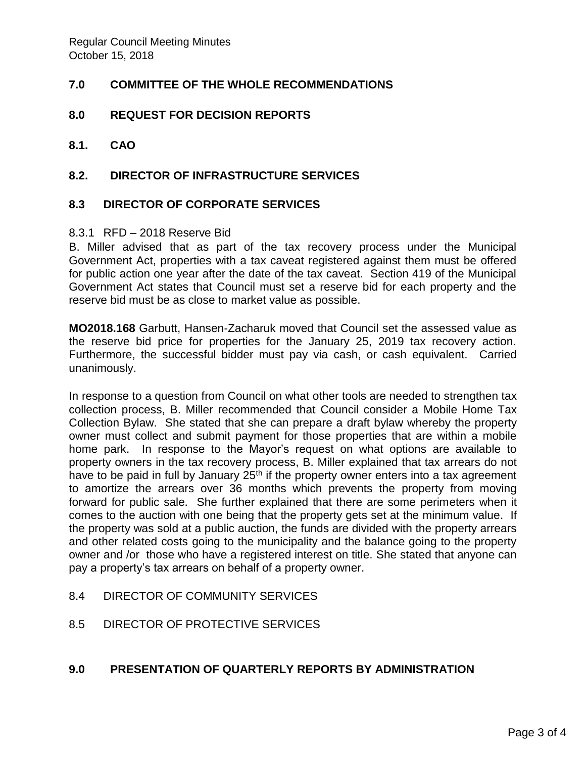### **7.0 COMMITTEE OF THE WHOLE RECOMMENDATIONS**

#### **8.0 REQUEST FOR DECISION REPORTS**

**8.1. CAO**

#### **8.2. DIRECTOR OF INFRASTRUCTURE SERVICES**

#### **8.3 DIRECTOR OF CORPORATE SERVICES**

#### 8.3.1 RFD – 2018 Reserve Bid

B. Miller advised that as part of the tax recovery process under the Municipal Government Act, properties with a tax caveat registered against them must be offered for public action one year after the date of the tax caveat. Section 419 of the Municipal Government Act states that Council must set a reserve bid for each property and the reserve bid must be as close to market value as possible.

**MO2018.168** Garbutt, Hansen-Zacharuk moved that Council set the assessed value as the reserve bid price for properties for the January 25, 2019 tax recovery action. Furthermore, the successful bidder must pay via cash, or cash equivalent. Carried unanimously.

In response to a question from Council on what other tools are needed to strengthen tax collection process, B. Miller recommended that Council consider a Mobile Home Tax Collection Bylaw. She stated that she can prepare a draft bylaw whereby the property owner must collect and submit payment for those properties that are within a mobile home park. In response to the Mayor's request on what options are available to property owners in the tax recovery process, B. Miller explained that tax arrears do not have to be paid in full by January  $25<sup>th</sup>$  if the property owner enters into a tax agreement to amortize the arrears over 36 months which prevents the property from moving forward for public sale. She further explained that there are some perimeters when it comes to the auction with one being that the property gets set at the minimum value. If the property was sold at a public auction, the funds are divided with the property arrears and other related costs going to the municipality and the balance going to the property owner and /or those who have a registered interest on title. She stated that anyone can pay a property's tax arrears on behalf of a property owner.

#### 8.4 DIRECTOR OF COMMUNITY SERVICES

8.5 DIRECTOR OF PROTECTIVE SERVICES

#### **9.0 PRESENTATION OF QUARTERLY REPORTS BY ADMINISTRATION**